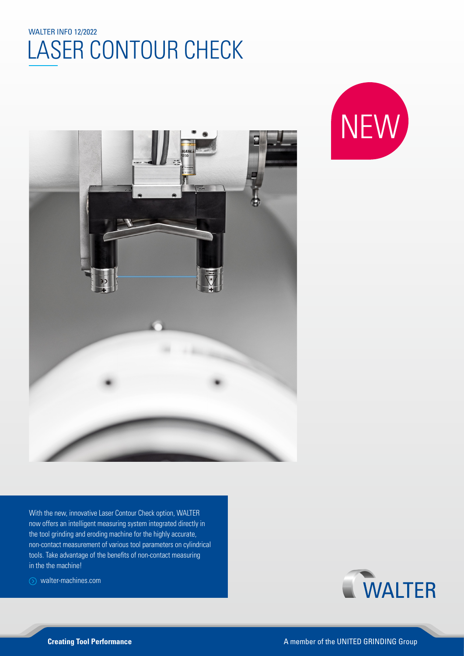## $\frac{E}{1}$ I AN WALTER INFO 12/2022 LASER CONTOUR CHECK





With the new, innovative Laser Contour Check option, WALTER now offers an intelligent measuring system integrated directly in the tool grinding and eroding machine for the highly accurate, non-contact measurement of various tool parameters on cylindrical tools. Take advantage of the benefits of non-contact measuring in the the machine!

walter-machines.com